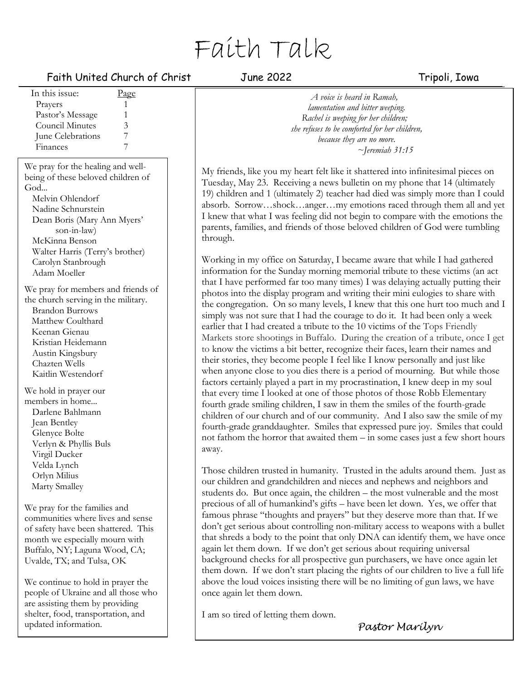# Faith Talk

# Faith United Church of Christ Tune 2022 Tripoli, Iowa

| In this issue:                                                                                                                                                                                                             | Page |  |
|----------------------------------------------------------------------------------------------------------------------------------------------------------------------------------------------------------------------------|------|--|
| Prayers                                                                                                                                                                                                                    | 1    |  |
| Pastor's Message                                                                                                                                                                                                           | 1    |  |
| <b>Council Minutes</b>                                                                                                                                                                                                     | 3    |  |
| June Celebrations                                                                                                                                                                                                          | 7    |  |
| Finances                                                                                                                                                                                                                   | 7    |  |
|                                                                                                                                                                                                                            |      |  |
| We pray for the healing and well-                                                                                                                                                                                          |      |  |
| being of these beloved children of                                                                                                                                                                                         |      |  |
| God                                                                                                                                                                                                                        |      |  |
| Melvin Ohlendorf                                                                                                                                                                                                           |      |  |
| Nadine Schnurstein                                                                                                                                                                                                         |      |  |
| Dean Boris (Mary Ann Myers'                                                                                                                                                                                                |      |  |
| son-in-law)                                                                                                                                                                                                                |      |  |
| McKinna Benson                                                                                                                                                                                                             |      |  |
| Walter Harris (Terry's brother)                                                                                                                                                                                            |      |  |
| Carolyn Stanbrough                                                                                                                                                                                                         |      |  |
| Adam Moeller                                                                                                                                                                                                               |      |  |
| We pray for members and friends of<br>the church serving in the military.<br><b>Brandon Burrows</b><br>Matthew Coulthard<br>Keenan Gienau<br>Kristian Heidemann<br>Austin Kingsbury<br>Chazten Wells<br>Kaitlin Westendorf |      |  |
| We hold in prayer our                                                                                                                                                                                                      |      |  |
| members in home                                                                                                                                                                                                            |      |  |
| Darlene Bahlmann                                                                                                                                                                                                           |      |  |
| Jean Bentley                                                                                                                                                                                                               |      |  |
| Glenyce Bolte                                                                                                                                                                                                              |      |  |
| Verlyn & Phyllis Buls                                                                                                                                                                                                      |      |  |
| Virgil Ducker                                                                                                                                                                                                              |      |  |
| Velda Lynch                                                                                                                                                                                                                |      |  |
| Orlyn Milius                                                                                                                                                                                                               |      |  |
| Marty Smalley                                                                                                                                                                                                              |      |  |
| We pray for the families and<br>communities where lives and sense                                                                                                                                                          |      |  |

communities where lives and sense of safety have been shattered. This month we especially mourn with Buffalo, NY; Laguna Wood, CA; Uvalde, TX; and Tulsa, OK

We continue to hold in prayer the people of Ukraine and all those who are assisting them by providing shelter, food, transportation, and updated information.

*A voice is heard in Ramah, lamentation and bitter weeping. Rachel is weeping for her children; she refuses to be comforted for her children, because they are no more. ~Jeremiah 31:15*

My friends, like you my heart felt like it shattered into infinitesimal pieces on Tuesday, May 23. Receiving a news bulletin on my phone that 14 (ultimately 19) children and 1 (ultimately 2) teacher had died was simply more than I could absorb. Sorrow…shock…anger…my emotions raced through them all and yet I knew that what I was feeling did not begin to compare with the emotions the parents, families, and friends of those beloved children of God were tumbling through.

Working in my office on Saturday, I became aware that while I had gathered information for the Sunday morning memorial tribute to these victims (an act that I have performed far too many times) I was delaying actually putting their photos into the display program and writing their mini eulogies to share with the congregation. On so many levels, I knew that this one hurt too much and I simply was not sure that I had the courage to do it. It had been only a week earlier that I had created a tribute to the 10 victims of the Tops Friendly Markets store shootings in Buffalo. During the creation of a tribute, once I get to know the victims a bit better, recognize their faces, learn their names and their stories, they become people I feel like I know personally and just like when anyone close to you dies there is a period of mourning. But while those factors certainly played a part in my procrastination, I knew deep in my soul that every time I looked at one of those photos of those Robb Elementary fourth grade smiling children, I saw in them the smiles of the fourth-grade children of our church and of our community. And I also saw the smile of my fourth-grade granddaughter. Smiles that expressed pure joy. Smiles that could not fathom the horror that awaited them – in some cases just a few short hours away.

Those children trusted in humanity. Trusted in the adults around them. Just as our children and grandchildren and nieces and nephews and neighbors and students do. But once again, the children – the most vulnerable and the most precious of all of humankind's gifts – have been let down. Yes, we offer that famous phrase "thoughts and prayers" but they deserve more than that. If we don't get serious about controlling non-military access to weapons with a bullet that shreds a body to the point that only DNA can identify them, we have once again let them down. If we don't get serious about requiring universal background checks for all prospective gun purchasers, we have once again let them down. If we don't start placing the rights of our children to live a full life above the loud voices insisting there will be no limiting of gun laws, we have once again let them down.

I am so tired of letting them down.

*Pastor Marilyn*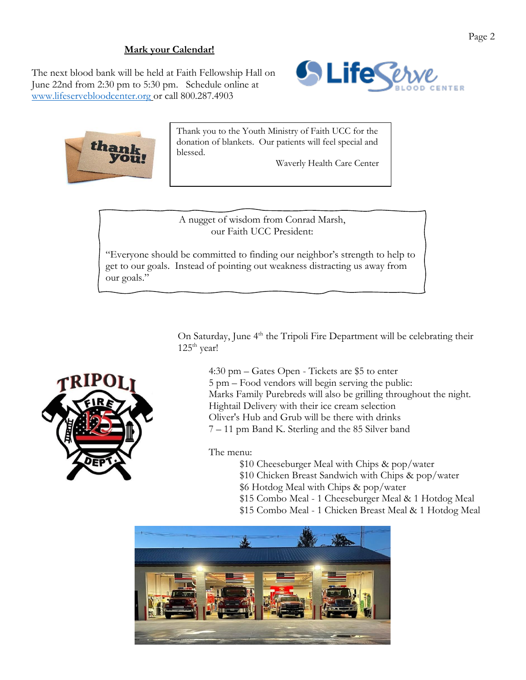# **Mark your Calendar!**

The next blood bank will be held at Faith Fellowship Hall on June 22nd from 2:30 pm to 5:30 pm. Schedule online at [www.lifeservebloodcenter.org](http://www.lifeservebloodcenter.org/) or call 800.287.4903





Thank you to the Youth Ministry of Faith UCC for the donation of blankets. Our patients will feel special and blessed.

Waverly Health Care Center

A nugget of wisdom from Conrad Marsh, our Faith UCC President:

"Everyone should be committed to finding our neighbor's strength to help to get to our goals. Instead of pointing out weakness distracting us away from our goals."

> On Saturday, June 4<sup>th</sup> the Tripoli Fire Department will be celebrating their  $125<sup>th</sup>$  year!



The menu:

\$10 Cheeseburger Meal with Chips & pop/water \$10 Chicken Breast Sandwich with Chips & pop/water \$6 Hotdog Meal with Chips & pop/water \$15 Combo Meal - 1 Cheeseburger Meal & 1 Hotdog Meal \$15 Combo Meal - 1 Chicken Breast Meal & 1 Hotdog Meal



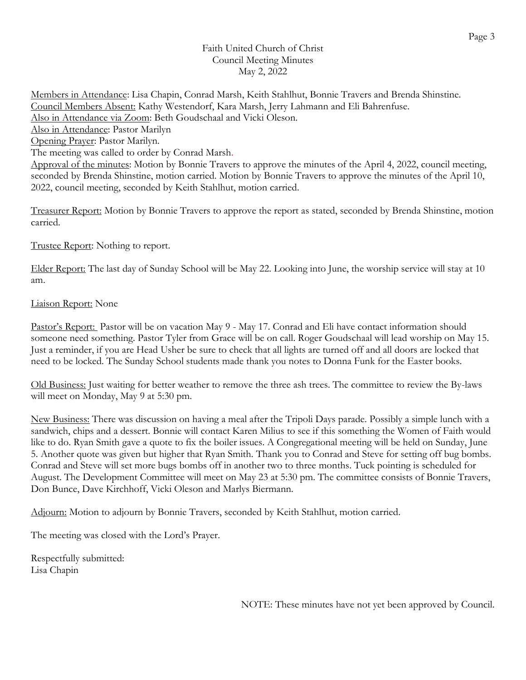## Faith United Church of Christ Council Meeting Minutes May 2, 2022

Members in Attendance: Lisa Chapin, Conrad Marsh, Keith Stahlhut, Bonnie Travers and Brenda Shinstine. Council Members Absent: Kathy Westendorf, Kara Marsh, Jerry Lahmann and Eli Bahrenfuse. Also in Attendance via Zoom: Beth Goudschaal and Vicki Oleson. Also in Attendance: Pastor Marilyn Opening Prayer: Pastor Marilyn. The meeting was called to order by Conrad Marsh. Approval of the minutes: Motion by Bonnie Travers to approve the minutes of the April 4, 2022, council meeting, seconded by Brenda Shinstine, motion carried. Motion by Bonnie Travers to approve the minutes of the April 10, 2022, council meeting, seconded by Keith Stahlhut, motion carried.

Treasurer Report: Motion by Bonnie Travers to approve the report as stated, seconded by Brenda Shinstine, motion carried.

Trustee Report: Nothing to report.

Elder Report: The last day of Sunday School will be May 22. Looking into June, the worship service will stay at 10 am.

# Liaison Report: None

Pastor's Report: Pastor will be on vacation May 9 - May 17. Conrad and Eli have contact information should someone need something. Pastor Tyler from Grace will be on call. Roger Goudschaal will lead worship on May 15. Just a reminder, if you are Head Usher be sure to check that all lights are turned off and all doors are locked that need to be locked. The Sunday School students made thank you notes to Donna Funk for the Easter books.

Old Business: Just waiting for better weather to remove the three ash trees. The committee to review the By-laws will meet on Monday, May 9 at 5:30 pm.

New Business: There was discussion on having a meal after the Tripoli Days parade. Possibly a simple lunch with a sandwich, chips and a dessert. Bonnie will contact Karen Milius to see if this something the Women of Faith would like to do. Ryan Smith gave a quote to fix the boiler issues. A Congregational meeting will be held on Sunday, June 5. Another quote was given but higher that Ryan Smith. Thank you to Conrad and Steve for setting off bug bombs. Conrad and Steve will set more bugs bombs off in another two to three months. Tuck pointing is scheduled for August. The Development Committee will meet on May 23 at 5:30 pm. The committee consists of Bonnie Travers, Don Bunce, Dave Kirchhoff, Vicki Oleson and Marlys Biermann.

Adjourn: Motion to adjourn by Bonnie Travers, seconded by Keith Stahlhut, motion carried.

The meeting was closed with the Lord's Prayer.

Respectfully submitted: Lisa Chapin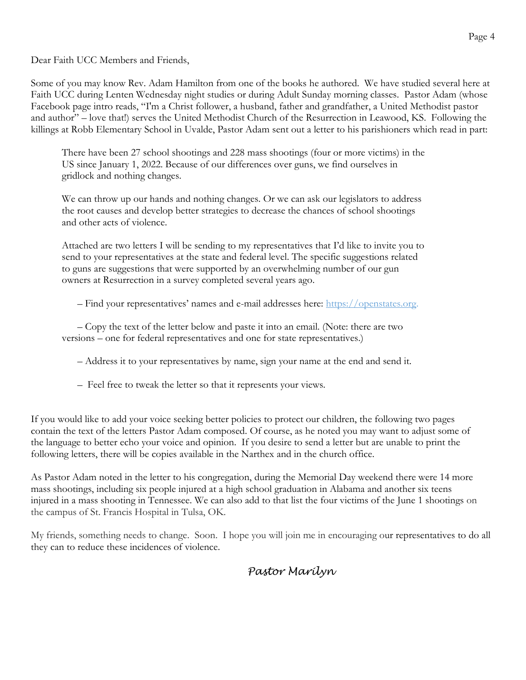Dear Faith UCC Members and Friends,

Some of you may know Rev. Adam Hamilton from one of the books he authored. We have studied several here at Faith UCC during Lenten Wednesday night studies or during Adult Sunday morning classes. Pastor Adam (whose Facebook page intro reads, "I'm a Christ follower, a husband, father and grandfather, a United Methodist pastor and author" – love that!) serves the United Methodist Church of the Resurrection in Leawood, KS. Following the killings at Robb Elementary School in Uvalde, Pastor Adam sent out a letter to his parishioners which read in part:

There have been 27 school shootings and 228 mass shootings (four or more victims) in the US since January 1, 2022. Because of our differences over guns, we find ourselves in gridlock and nothing changes.

We can throw up our hands and nothing changes. Or we can ask our legislators to address the root causes and develop better strategies to decrease the chances of school shootings and other acts of violence.

Attached are two letters I will be sending to my representatives that I'd like to invite you to send to your representatives at the state and federal level. The specific suggestions related to guns are suggestions that were supported by an overwhelming number of our gun owners at Resurrection in a survey completed several years ago.

– Find your representatives' names and e-mail addresses here: [https://openstates.org.](https://openstates.org/)

– Copy the text of the letter below and paste it into an email. (Note: there are two versions – one for federal representatives and one for state representatives.)

- Address it to your representatives by name, sign your name at the end and send it.
- Feel free to tweak the letter so that it represents your views.

If you would like to add your voice seeking better policies to protect our children, the following two pages contain the text of the letters Pastor Adam composed. Of course, as he noted you may want to adjust some of the language to better echo your voice and opinion. If you desire to send a letter but are unable to print the following letters, there will be copies available in the Narthex and in the church office.

As Pastor Adam noted in the letter to his congregation, during the Memorial Day weekend there were 14 more mass shootings, including six people injured at a high school graduation in Alabama and another six teens injured in a mass shooting in Tennessee. We can also add to that list the four victims of the June 1 shootings on the campus of St. Francis Hospital in Tulsa, OK.

My friends, something needs to change. Soon. I hope you will join me in encouraging our representatives to do all they can to reduce these incidences of violence.

*Pastor Marilyn*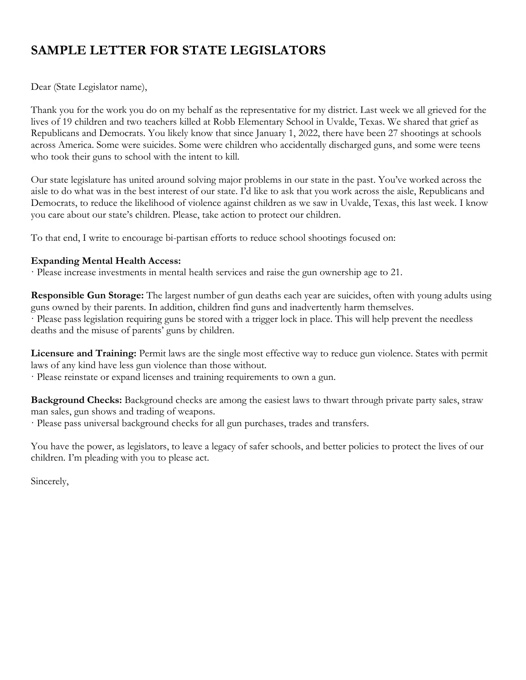# **SAMPLE LETTER FOR STATE LEGISLATORS**

Dear (State Legislator name),

Thank you for the work you do on my behalf as the representative for my district. Last week we all grieved for the lives of 19 children and two teachers killed at Robb Elementary School in Uvalde, Texas. We shared that grief as Republicans and Democrats. You likely know that since January 1, 2022, there have been 27 shootings at schools across America. Some were suicides. Some were children who accidentally discharged guns, and some were teens who took their guns to school with the intent to kill.

Our state legislature has united around solving major problems in our state in the past. You've worked across the aisle to do what was in the best interest of our state. I'd like to ask that you work across the aisle, Republicans and Democrats, to reduce the likelihood of violence against children as we saw in Uvalde, Texas, this last week. I know you care about our state's children. Please, take action to protect our children.

To that end, I write to encourage bi-partisan efforts to reduce school shootings focused on:

# **Expanding Mental Health Access:**

· Please increase investments in mental health services and raise the gun ownership age to 21.

**Responsible Gun Storage:** The largest number of gun deaths each year are suicides, often with young adults using guns owned by their parents. In addition, children find guns and inadvertently harm themselves. · Please pass legislation requiring guns be stored with a trigger lock in place. This will help prevent the needless deaths and the misuse of parents' guns by children.

**Licensure and Training:** Permit laws are the single most effective way to reduce gun violence. States with permit laws of any kind have less gun violence than those without.

· Please reinstate or expand licenses and training requirements to own a gun.

**Background Checks:** Background checks are among the easiest laws to thwart through private party sales, straw man sales, gun shows and trading of weapons.

· Please pass universal background checks for all gun purchases, trades and transfers.

You have the power, as legislators, to leave a legacy of safer schools, and better policies to protect the lives of our children. I'm pleading with you to please act.

Sincerely,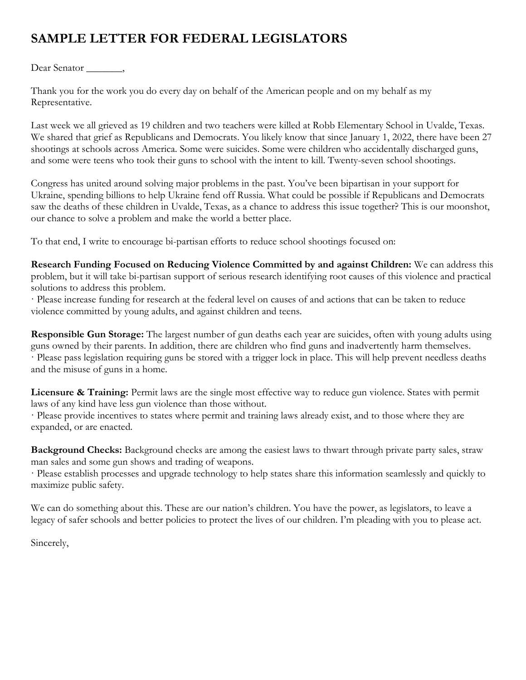# **SAMPLE LETTER FOR FEDERAL LEGISLATORS**

Dear Senator \_\_\_\_\_\_\_,

Thank you for the work you do every day on behalf of the American people and on my behalf as my Representative.

Last week we all grieved as 19 children and two teachers were killed at Robb Elementary School in Uvalde, Texas. We shared that grief as Republicans and Democrats. You likely know that since January 1, 2022, there have been 27 shootings at schools across America. Some were suicides. Some were children who accidentally discharged guns, and some were teens who took their guns to school with the intent to kill. Twenty-seven school shootings.

Congress has united around solving major problems in the past. You've been bipartisan in your support for Ukraine, spending billions to help Ukraine fend off Russia. What could be possible if Republicans and Democrats saw the deaths of these children in Uvalde, Texas, as a chance to address this issue together? This is our moonshot, our chance to solve a problem and make the world a better place.

To that end, I write to encourage bi-partisan efforts to reduce school shootings focused on:

**Research Funding Focused on Reducing Violence Committed by and against Children:** We can address this problem, but it will take bi-partisan support of serious research identifying root causes of this violence and practical solutions to address this problem.

· Please increase funding for research at the federal level on causes of and actions that can be taken to reduce violence committed by young adults, and against children and teens.

**Responsible Gun Storage:** The largest number of gun deaths each year are suicides, often with young adults using guns owned by their parents. In addition, there are children who find guns and inadvertently harm themselves. · Please pass legislation requiring guns be stored with a trigger lock in place. This will help prevent needless deaths and the misuse of guns in a home.

**Licensure & Training:** Permit laws are the single most effective way to reduce gun violence. States with permit laws of any kind have less gun violence than those without.

· Please provide incentives to states where permit and training laws already exist, and to those where they are expanded, or are enacted.

**Background Checks:** Background checks are among the easiest laws to thwart through private party sales, straw man sales and some gun shows and trading of weapons.

· Please establish processes and upgrade technology to help states share this information seamlessly and quickly to maximize public safety.

We can do something about this. These are our nation's children. You have the power, as legislators, to leave a legacy of safer schools and better policies to protect the lives of our children. I'm pleading with you to please act.

Sincerely,